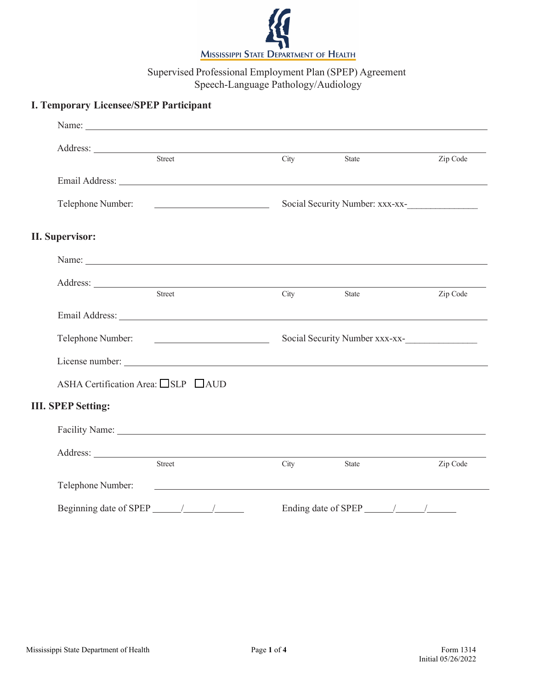

# Supervised Professional Employment Plan (SPEP) Agreement Speech-Language Pathology/Audiology

# **I. Temporary Licensee/SPEP Participant**

| Address: <u>Street Street Street Street Street Street Street Street Street Street Street Street Street Street Street Street Street Street Street Street Street Street Street Street Street Street Street Street Street Street St</u> | City                            | State               | Zip Code |
|--------------------------------------------------------------------------------------------------------------------------------------------------------------------------------------------------------------------------------------|---------------------------------|---------------------|----------|
| Email Address: Lawrence and Contact the Contact of the Contact of the Contact of the Contact of the Contact of the Contact of the Contact of the Contact of the Contact of the Contact of the Contact of the Contact of the Co       |                                 |                     |          |
| Telephone Number:<br><u> 1989 - Andrea Station, Amerikaansk politiker (</u> † 1911)                                                                                                                                                  | Social Security Number: xxx-xx- |                     |          |
| <b>II. Supervisor:</b>                                                                                                                                                                                                               |                                 |                     |          |
| Name: Name:                                                                                                                                                                                                                          |                                 |                     |          |
|                                                                                                                                                                                                                                      |                                 |                     |          |
| Street                                                                                                                                                                                                                               |                                 | City State          | Zip Code |
|                                                                                                                                                                                                                                      |                                 |                     |          |
| Telephone Number:                                                                                                                                                                                                                    | Social Security Number xxx-xx-  |                     |          |
|                                                                                                                                                                                                                                      |                                 |                     |          |
| ASHA Certification Area: □SLP □AUD                                                                                                                                                                                                   |                                 |                     |          |
| <b>III. SPEP Setting:</b>                                                                                                                                                                                                            |                                 |                     |          |
|                                                                                                                                                                                                                                      |                                 |                     |          |
|                                                                                                                                                                                                                                      |                                 |                     |          |
| Street                                                                                                                                                                                                                               | City                            | State               | Zip Code |
| Telephone Number:<br><u> 1989 - Andrea Andrew Maria (h. 1989).</u><br>1905 - Andrew Maria (h. 1906).                                                                                                                                 |                                 |                     |          |
| Beginning date of SPEP                                                                                                                                                                                                               |                                 | Ending date of SPEP |          |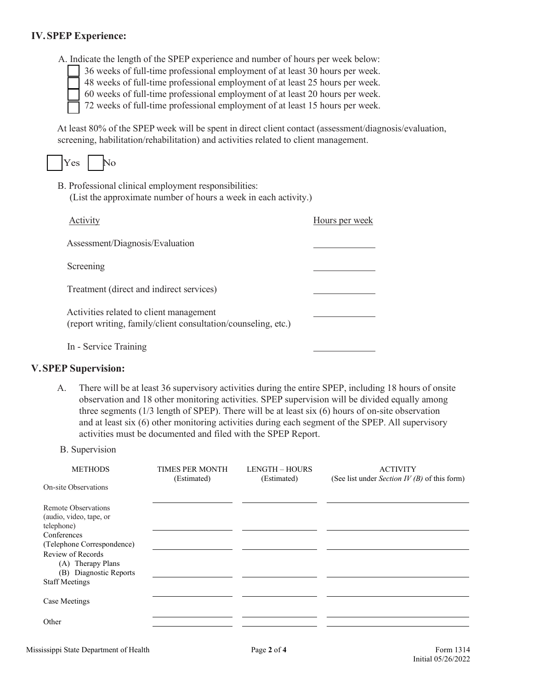### **IV.SPEP Experience:**

A. Indicate the length of the SPEP experience and number of hours per week below:

36 weeks of full-time professional employment of at least 30 hours per week. 48 weeks of full-time professional employment of at least 25 hours per week.

60 weeks of full-time professional employment of at least 20 hours per week.

72 weeks of full-time professional employment of at least 15 hours per week.

At least 80% of the SPEP week will be spent in direct client contact (assessment/diagnosis/evaluation, screening, habilitation/rehabilitation) and activities related to client management.

|--|--|

B. Professional clinical employment responsibilities: (List the approximate number of hours a week in each activity.)

| Activity                                                                                                 | Hours per week |
|----------------------------------------------------------------------------------------------------------|----------------|
| Assessment/Diagnosis/Evaluation                                                                          |                |
| Screening                                                                                                |                |
| Treatment (direct and indirect services)                                                                 |                |
| Activities related to client management<br>(report writing, family/client consultation/counseling, etc.) |                |
| In - Service Training                                                                                    |                |

#### **V.SPEP Supervision:**

- A. There will be at least 36 supervisory activities during the entire SPEP, including 18 hours of onsite observation and 18 other monitoring activities. SPEP supervision will be divided equally among three segments (1/3 length of SPEP). There will be at least six (6) hours of on-site observation and at least six (6) other monitoring activities during each segment of the SPEP. All supervisory activities must be documented and filed with the SPEP Report.
- B. Supervision

| <b>METHODS</b>                                                   | TIMES PER MONTH<br>(Estimated) | <b>LENGTH - HOURS</b><br>(Estimated) | <b>ACTIVITY</b><br>(See list under <i>Section IV (B)</i> of this form) |
|------------------------------------------------------------------|--------------------------------|--------------------------------------|------------------------------------------------------------------------|
| On-site Observations                                             |                                |                                      |                                                                        |
| Remote Observations<br>(audio, video, tape, or<br>telephone)     |                                |                                      |                                                                        |
| Conferences<br>(Telephone Correspondence)                        |                                |                                      |                                                                        |
| Review of Records<br>(A) Therapy Plans<br>(B) Diagnostic Reports |                                |                                      |                                                                        |
| <b>Staff Meetings</b>                                            |                                |                                      |                                                                        |
| Case Meetings                                                    |                                |                                      |                                                                        |
| Other                                                            |                                |                                      |                                                                        |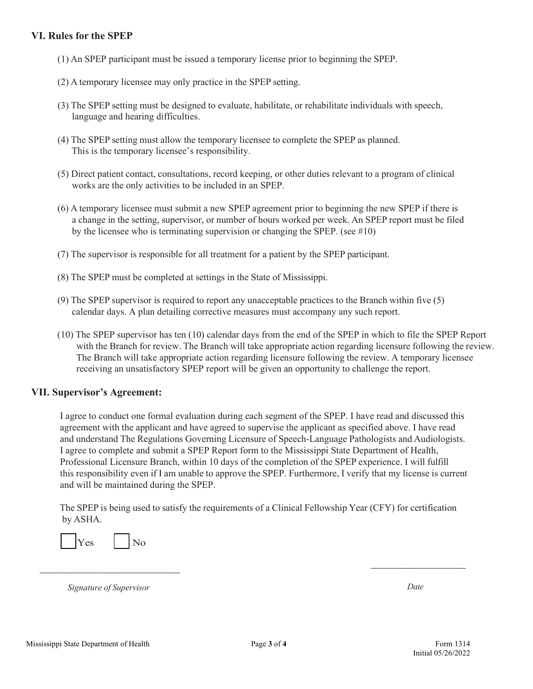#### **VI. Rules for the SPEP**

- (1) An SPEP participant must be issued a temporary license prior to beginning the SPEP.
- (2) A temporary licensee may only practice in the SPEP setting.
- (3) The SPEP setting must be designed to evaluate, habilitate, or rehabilitate individuals with speech, language and hearing difficulties.
- (4) The SPEP setting must allow the temporary licensee to complete the SPEP as planned. This is the temporary licensee's responsibility.
- (5) Direct patient contact, consultations, record keeping, or other duties relevant to a program of clinical works are the only activities to be included in an SPEP.
- (6) A temporary licensee must submit a new SPEP agreement prior to beginning the new SPEP if there is a change in the setting, supervisor, or number of hours worked per week. An SPEP report must be filed by the licensee who is terminating supervision or changing the SPEP. (see #10)
- (7) The supervisor is responsible for all treatment for a patient by the SPEP participant.
- (8) The SPEP must be completed at settings in the State of Mississippi.
- (9) The SPEP supervisor is required to report any unacceptable practices to the Branch within five (5) calendar days. A plan detailing corrective measures must accompany any such report.
- (10) The SPEP supervisor has ten (10) calendar days from the end of the SPEP in which to file the SPEP Report with the Branch for review. The Branch will take appropriate action regarding licensure following the review. The Branch will take appropriate action regarding licensure following the review. A temporary licensee receiving an unsatisfactory SPEP report will be given an opportunity to challenge the report.

#### **VII. Supervisor's Agreement:**

I agree to conduct one formal evaluation during each segment of the SPEP. I have read and discussed this agreement with the applicant and have agreed to supervise the applicant as specified above. I have read and understand The Regulations Governing Licensure of Speech-Language Pathologists and Audiologists. I agree to complete and submit a SPEP Report form to the Mississippi State Department of Health, Professional Licensure Branch, within 10 days of the completion of the SPEP experience. I will fulfill this responsibility even if I am unable to approve the SPEP. Furthermore, I verify that my license is current and will be maintained during the SPEP.

The SPEP is being used to satisfy the requirements of a Clinical Fellowship Year (CFY) for certification by ASHA.

| ∸∾<br>и |  | ∩ |
|---------|--|---|
|---------|--|---|

*Signature of Supervisor Date*

 $\frac{1}{2}$  ,  $\frac{1}{2}$  ,  $\frac{1}{2}$  ,  $\frac{1}{2}$  ,  $\frac{1}{2}$  ,  $\frac{1}{2}$  ,  $\frac{1}{2}$  ,  $\frac{1}{2}$  ,  $\frac{1}{2}$  ,  $\frac{1}{2}$  ,  $\frac{1}{2}$  ,  $\frac{1}{2}$  ,  $\frac{1}{2}$  ,  $\frac{1}{2}$  ,  $\frac{1}{2}$  ,  $\frac{1}{2}$  ,  $\frac{1}{2}$  ,  $\frac{1}{2}$  ,  $\frac{1$ 

 $\mathcal{L}_\text{max}$  , where  $\mathcal{L}_\text{max}$  , we have the set of  $\mathcal{L}_\text{max}$